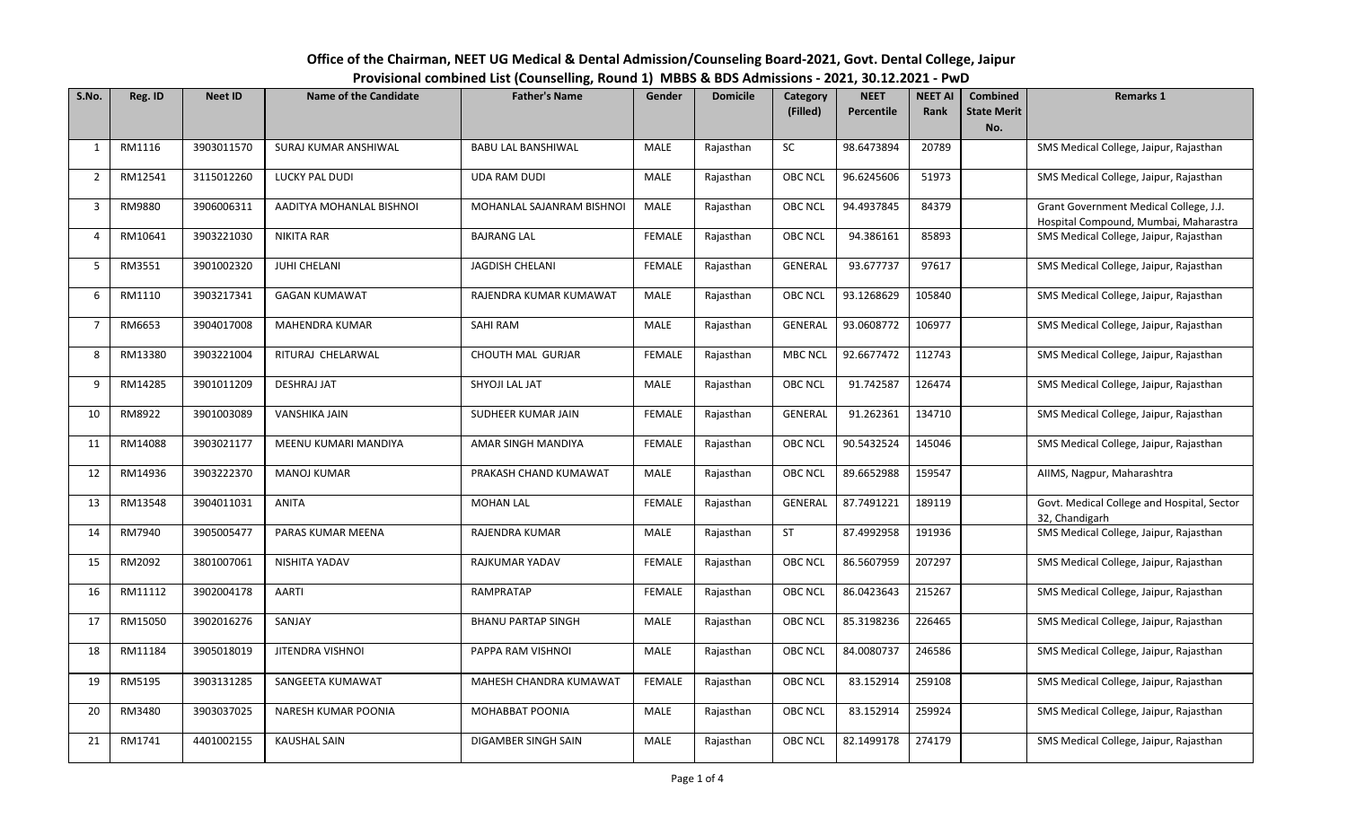| Office of the Chairman, NEET UG Medical & Dental Admission/Counseling Board-2021, Govt. Dental College, Jaipur |
|----------------------------------------------------------------------------------------------------------------|
| Provisional combined List (Counselling, Round 1) MBBS & BDS Admissions - 2021, 30.12.2021 - PwD                |

| S.No.          | Reg. ID | <b>Neet ID</b> | <b>Name of the Candidate</b> | <b>Father's Name</b>      | Gender        | <b>Domicile</b> | Category       | <b>NEET</b>       | <b>NEET AI</b> | <b>Combined</b>    | <b>Remarks 1</b>                                                                |
|----------------|---------|----------------|------------------------------|---------------------------|---------------|-----------------|----------------|-------------------|----------------|--------------------|---------------------------------------------------------------------------------|
|                |         |                |                              |                           |               |                 | (Filled)       | <b>Percentile</b> | Rank           | <b>State Merit</b> |                                                                                 |
|                |         |                |                              |                           |               |                 |                |                   |                | No.                |                                                                                 |
| 1              | RM1116  | 3903011570     | SURAJ KUMAR ANSHIWAL         | <b>BABU LAL BANSHIWAL</b> | MALE          | Rajasthan       | <b>SC</b>      | 98.6473894        | 20789          |                    | SMS Medical College, Jaipur, Rajasthan                                          |
| $\overline{2}$ | RM12541 | 3115012260     | <b>LUCKY PAL DUDI</b>        | <b>UDA RAM DUDI</b>       | <b>MALE</b>   | Rajasthan       | <b>OBC NCL</b> | 96.6245606        | 51973          |                    | SMS Medical College, Jaipur, Rajasthan                                          |
| 3              | RM9880  | 3906006311     | AADITYA MOHANLAL BISHNOI     | MOHANLAL SAJANRAM BISHNOI | MALE          | Rajasthan       | <b>OBC NCL</b> | 94.4937845        | 84379          |                    | Grant Government Medical College, J.J.<br>Hospital Compound, Mumbai, Maharastra |
| $\overline{a}$ | RM10641 | 3903221030     | <b>NIKITA RAR</b>            | <b>BAJRANG LAL</b>        | <b>FEMALE</b> | Rajasthan       | <b>OBC NCL</b> | 94.386161         | 85893          |                    | SMS Medical College, Jaipur, Rajasthan                                          |
| 5              | RM3551  | 3901002320     | <b>JUHI CHELANI</b>          | <b>JAGDISH CHELANI</b>    | <b>FEMALE</b> | Rajasthan       | <b>GENERAL</b> | 93.677737         | 97617          |                    | SMS Medical College, Jaipur, Rajasthan                                          |
| 6              | RM1110  | 3903217341     | <b>GAGAN KUMAWAT</b>         | RAJENDRA KUMAR KUMAWAT    | MALE          | Rajasthan       | <b>OBC NCL</b> | 93.1268629        | 105840         |                    | SMS Medical College, Jaipur, Rajasthan                                          |
| $\overline{7}$ | RM6653  | 3904017008     | <b>MAHENDRA KUMAR</b>        | SAHI RAM                  | MALE          | Rajasthan       | <b>GENERAL</b> | 93.0608772        | 106977         |                    | SMS Medical College, Jaipur, Rajasthan                                          |
| 8              | RM13380 | 3903221004     | RITURAJ CHELARWAL            | <b>CHOUTH MAL GURJAR</b>  | <b>FEMALE</b> | Rajasthan       | <b>MBC NCL</b> | 92.6677472        | 112743         |                    | SMS Medical College, Jaipur, Rajasthan                                          |
| 9              | RM14285 | 3901011209     | <b>DESHRAJ JAT</b>           | SHYOJI LAL JAT            | <b>MALE</b>   | Rajasthan       | <b>OBC NCL</b> | 91.742587         | 126474         |                    | SMS Medical College, Jaipur, Rajasthan                                          |
| 10             | RM8922  | 3901003089     | VANSHIKA JAIN                | SUDHEER KUMAR JAIN        | <b>FEMALE</b> | Rajasthan       | <b>GENERAL</b> | 91.262361         | 134710         |                    | SMS Medical College, Jaipur, Rajasthan                                          |
| 11             | RM14088 | 3903021177     | MEENU KUMARI MANDIYA         | AMAR SINGH MANDIYA        | <b>FEMALE</b> | Rajasthan       | <b>OBC NCL</b> | 90.5432524        | 145046         |                    | SMS Medical College, Jaipur, Rajasthan                                          |
| 12             | RM14936 | 3903222370     | <b>MANOJ KUMAR</b>           | PRAKASH CHAND KUMAWAT     | MALE          | Rajasthan       | <b>OBC NCL</b> | 89.6652988        | 159547         |                    | AllMS, Nagpur, Maharashtra                                                      |
| 13             | RM13548 | 3904011031     | <b>ANITA</b>                 | <b>MOHAN LAL</b>          | <b>FEMALE</b> | Rajasthan       | GENERAL        | 87.7491221        | 189119         |                    | Govt. Medical College and Hospital, Sector<br>32, Chandigarh                    |
| 14             | RM7940  | 3905005477     | PARAS KUMAR MEENA            | RAJENDRA KUMAR            | MALE          | Rajasthan       | <b>ST</b>      | 87.4992958        | 191936         |                    | SMS Medical College, Jaipur, Rajasthan                                          |
| 15             | RM2092  | 3801007061     | NISHITA YADAV                | RAJKUMAR YADAV            | <b>FEMALE</b> | Rajasthan       | <b>OBC NCL</b> | 86.5607959        | 207297         |                    | SMS Medical College, Jaipur, Rajasthan                                          |
| 16             | RM11112 | 3902004178     | AARTI                        | <b>RAMPRATAP</b>          | <b>FEMALE</b> | Rajasthan       | <b>OBC NCL</b> | 86.0423643        | 215267         |                    | SMS Medical College, Jaipur, Rajasthan                                          |
| 17             | RM15050 | 3902016276     | SANJAY                       | <b>BHANU PARTAP SINGH</b> | <b>MALE</b>   | Rajasthan       | <b>OBC NCL</b> | 85.3198236        | 226465         |                    | SMS Medical College, Jaipur, Rajasthan                                          |
| 18             | RM11184 | 3905018019     | JITENDRA VISHNOI             | PAPPA RAM VISHNOI         | <b>MALE</b>   | Rajasthan       | <b>OBC NCL</b> | 84.0080737        | 246586         |                    | SMS Medical College, Jaipur, Rajasthan                                          |
| 19             | RM5195  | 3903131285     | SANGEETA KUMAWAT             | MAHESH CHANDRA KUMAWAT    | <b>FEMALE</b> | Rajasthan       | <b>OBC NCL</b> | 83.152914         | 259108         |                    | SMS Medical College, Jaipur, Rajasthan                                          |
| 20             | RM3480  | 3903037025     | NARESH KUMAR POONIA          | MOHABBAT POONIA           | <b>MALE</b>   | Rajasthan       | <b>OBC NCL</b> | 83.152914         | 259924         |                    | SMS Medical College, Jaipur, Rajasthan                                          |
| 21             | RM1741  | 4401002155     | <b>KAUSHAL SAIN</b>          | DIGAMBER SINGH SAIN       | <b>MALE</b>   | Rajasthan       | <b>OBC NCL</b> | 82.1499178        | 274179         |                    | SMS Medical College, Jaipur, Rajasthan                                          |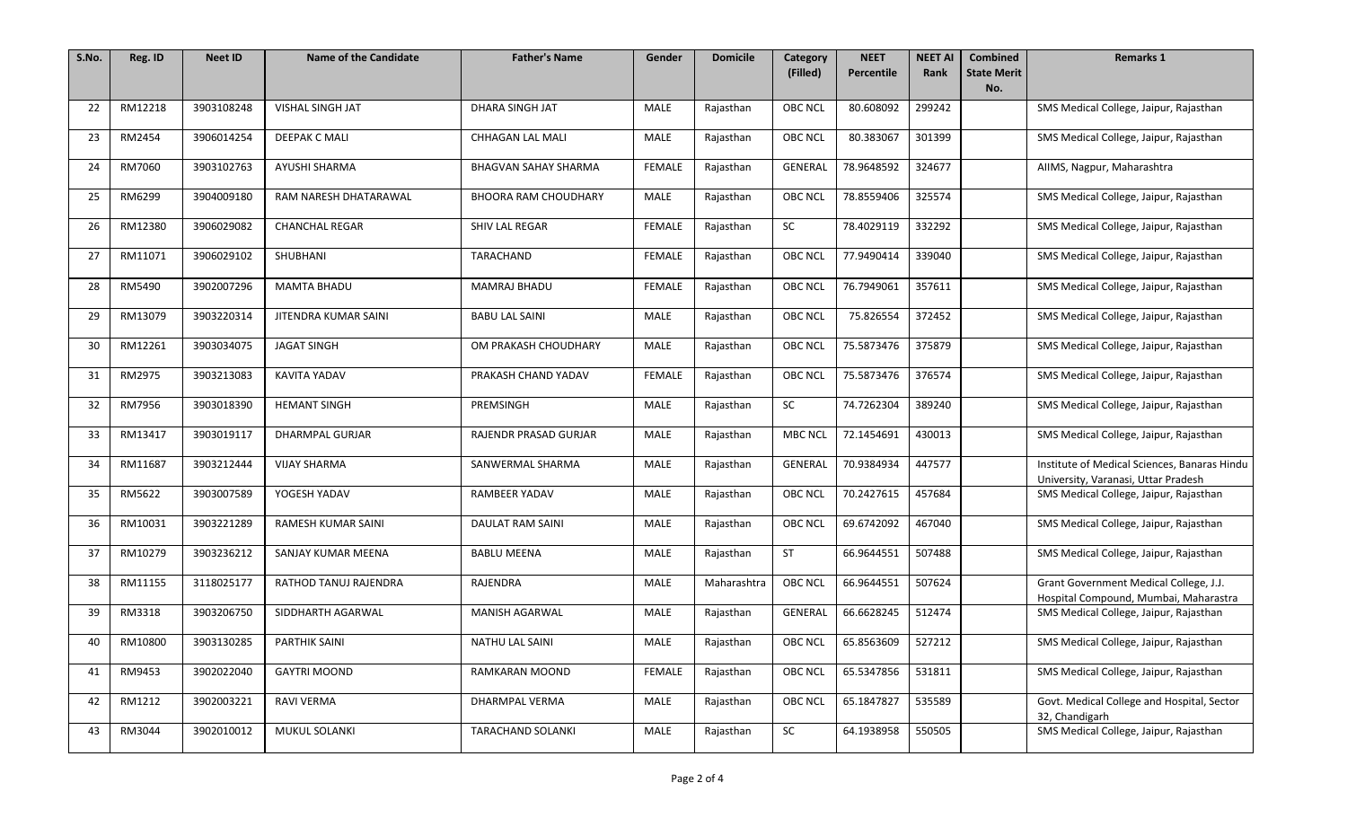| S.No. | Reg. ID | <b>Neet ID</b> | <b>Name of the Candidate</b> | <b>Father's Name</b>        | Gender        | <b>Domicile</b> | Category       | <b>NEET</b><br><b>Percentile</b> | <b>NEET AI</b> | <b>Combined</b>           | <b>Remarks 1</b>                                                                    |
|-------|---------|----------------|------------------------------|-----------------------------|---------------|-----------------|----------------|----------------------------------|----------------|---------------------------|-------------------------------------------------------------------------------------|
|       |         |                |                              |                             |               |                 | (Filled)       |                                  | <b>Rank</b>    | <b>State Merit</b><br>No. |                                                                                     |
| 22    | RM12218 | 3903108248     | <b>VISHAL SINGH JAT</b>      | DHARA SINGH JAT             | <b>MALE</b>   | Rajasthan       | <b>OBC NCL</b> | 80.608092                        | 299242         |                           | SMS Medical College, Jaipur, Rajasthan                                              |
| 23    | RM2454  | 3906014254     | DEEPAK C MALI                | <b>CHHAGAN LAL MALI</b>     | MALE          | Rajasthan       | <b>OBC NCL</b> | 80.383067                        | 301399         |                           | SMS Medical College, Jaipur, Rajasthan                                              |
| 24    | RM7060  | 3903102763     | AYUSHI SHARMA                | <b>BHAGVAN SAHAY SHARMA</b> | <b>FEMALE</b> | Rajasthan       | GENERAL        | 78.9648592                       | 324677         |                           | AIIMS, Nagpur, Maharashtra                                                          |
| 25    | RM6299  | 3904009180     | RAM NARESH DHATARAWAL        | <b>BHOORA RAM CHOUDHARY</b> | <b>MALE</b>   | Rajasthan       | <b>OBC NCL</b> | 78.8559406                       | 325574         |                           | SMS Medical College, Jaipur, Rajasthan                                              |
| 26    | RM12380 | 3906029082     | <b>CHANCHAL REGAR</b>        | <b>SHIV LAL REGAR</b>       | <b>FEMALE</b> | Rajasthan       | <b>SC</b>      | 78.4029119                       | 332292         |                           | SMS Medical College, Jaipur, Rajasthan                                              |
| 27    | RM11071 | 3906029102     | SHUBHANI                     | TARACHAND                   | <b>FEMALE</b> | Rajasthan       | <b>OBC NCL</b> | 77.9490414                       | 339040         |                           | SMS Medical College, Jaipur, Rajasthan                                              |
| 28    | RM5490  | 3902007296     | <b>MAMTA BHADU</b>           | MAMRAJ BHADU                | <b>FEMALE</b> | Rajasthan       | <b>OBC NCL</b> | 76.7949061                       | 357611         |                           | SMS Medical College, Jaipur, Rajasthan                                              |
| 29    | RM13079 | 3903220314     | JITENDRA KUMAR SAINI         | <b>BABU LAL SAINI</b>       | <b>MALE</b>   | Rajasthan       | <b>OBC NCL</b> | 75.826554                        | 372452         |                           | SMS Medical College, Jaipur, Rajasthan                                              |
| 30    | RM12261 | 3903034075     | <b>JAGAT SINGH</b>           | OM PRAKASH CHOUDHARY        | <b>MALE</b>   | Rajasthan       | <b>OBC NCL</b> | 75.5873476                       | 375879         |                           | SMS Medical College, Jaipur, Rajasthan                                              |
| 31    | RM2975  | 3903213083     | KAVITA YADAV                 | PRAKASH CHAND YADAV         | <b>FEMALE</b> | Rajasthan       | <b>OBC NCL</b> | 75.5873476                       | 376574         |                           | SMS Medical College, Jaipur, Rajasthan                                              |
| 32    | RM7956  | 3903018390     | <b>HEMANT SINGH</b>          | PREMSINGH                   | <b>MALE</b>   | Rajasthan       | <b>SC</b>      | 74.7262304                       | 389240         |                           | SMS Medical College, Jaipur, Rajasthan                                              |
| 33    | RM13417 | 3903019117     | DHARMPAL GURJAR              | RAJENDR PRASAD GURJAR       | <b>MALE</b>   | Rajasthan       | <b>MBC NCL</b> | 72.1454691                       | 430013         |                           | SMS Medical College, Jaipur, Rajasthan                                              |
| 34    | RM11687 | 3903212444     | <b>VIJAY SHARMA</b>          | SANWERMAL SHARMA            | <b>MALE</b>   | Rajasthan       | GENERAL        | 70.9384934                       | 447577         |                           | Institute of Medical Sciences, Banaras Hindu<br>University, Varanasi, Uttar Pradesh |
| 35    | RM5622  | 3903007589     | YOGESH YADAV                 | RAMBEER YADAV               | <b>MALE</b>   | Rajasthan       | <b>OBC NCL</b> | 70.2427615                       | 457684         |                           | SMS Medical College, Jaipur, Rajasthan                                              |
| 36    | RM10031 | 3903221289     | RAMESH KUMAR SAINI           | DAULAT RAM SAINI            | MALE          | Rajasthan       | <b>OBC NCL</b> | 69.6742092                       | 467040         |                           | SMS Medical College, Jaipur, Rajasthan                                              |
| 37    | RM10279 | 3903236212     | SANJAY KUMAR MEENA           | <b>BABLU MEENA</b>          | <b>MALE</b>   | Rajasthan       | ST             | 66.9644551                       | 507488         |                           | SMS Medical College, Jaipur, Rajasthan                                              |
| 38    | RM11155 | 3118025177     | RATHOD TANUJ RAJENDRA        | RAJENDRA                    | <b>MALE</b>   | Maharashtra     | <b>OBC NCL</b> | 66.9644551                       | 507624         |                           | Grant Government Medical College, J.J.<br>Hospital Compound, Mumbai, Maharastra     |
| 39    | RM3318  | 3903206750     | SIDDHARTH AGARWAL            | MANISH AGARWAL              | <b>MALE</b>   | Rajasthan       | GENERAL        | 66.6628245                       | 512474         |                           | SMS Medical College, Jaipur, Rajasthan                                              |
| 40    | RM10800 | 3903130285     | <b>PARTHIK SAINI</b>         | NATHU LAL SAINI             | MALE          | Rajasthan       | <b>OBC NCL</b> | 65.8563609                       | 527212         |                           | SMS Medical College, Jaipur, Rajasthan                                              |
| 41    | RM9453  | 3902022040     | <b>GAYTRI MOOND</b>          | RAMKARAN MOOND              | <b>FEMALE</b> | Rajasthan       | <b>OBC NCL</b> | 65.5347856                       | 531811         |                           | SMS Medical College, Jaipur, Rajasthan                                              |
| 42    | RM1212  | 3902003221     | RAVI VERMA                   | DHARMPAL VERMA              | <b>MALE</b>   | Rajasthan       | OBC NCL        | 65.1847827                       | 535589         |                           | Govt. Medical College and Hospital, Sector<br>32, Chandigarh                        |
| 43    | RM3044  | 3902010012     | MUKUL SOLANKI                | TARACHAND SOLANKI           | MALE          | Rajasthan       | SC             | 64.1938958                       | 550505         |                           | SMS Medical College, Jaipur, Rajasthan                                              |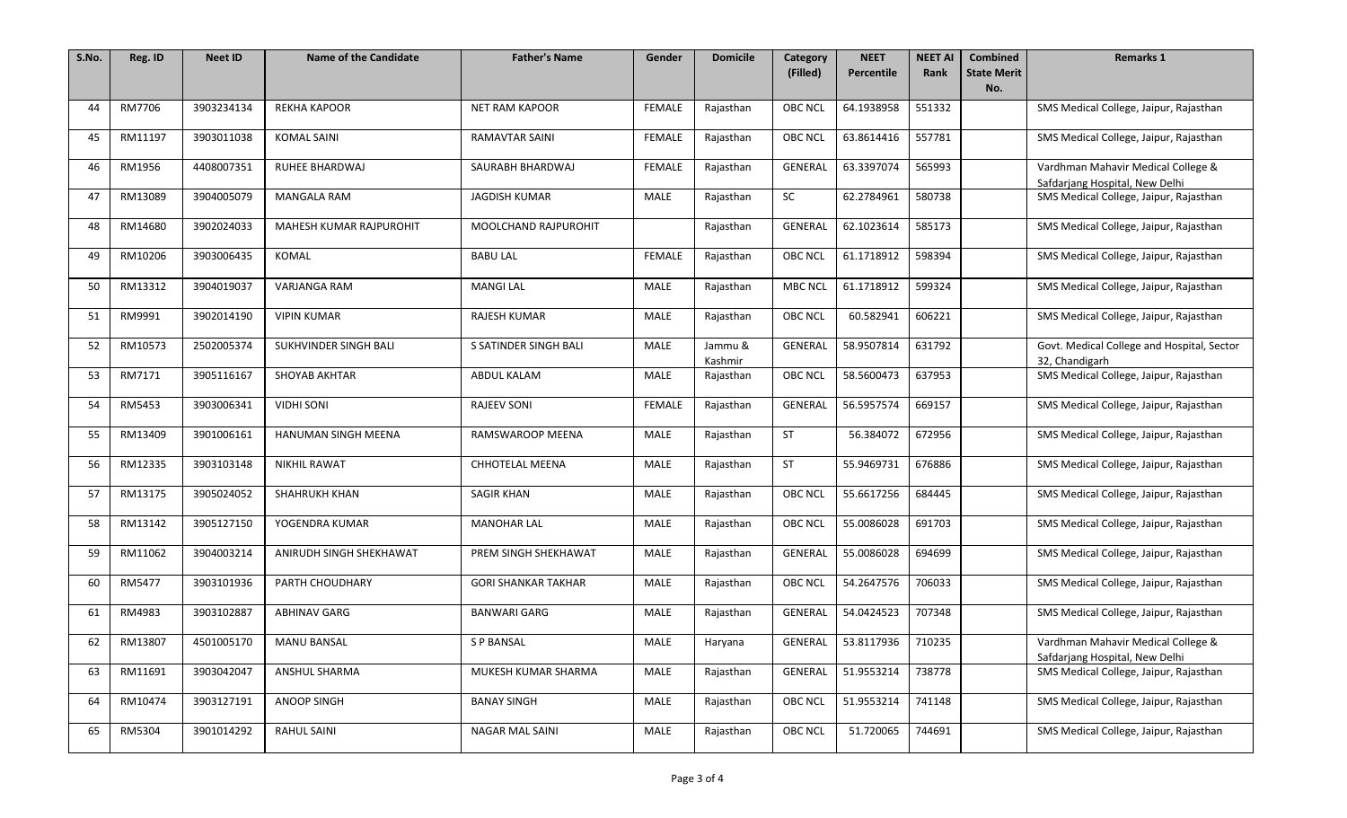| S.No. | Reg. ID | Neet ID    | <b>Name of the Candidate</b> | <b>Father's Name</b>       | Gender        | <b>Domicile</b>    | Category<br>(Filled) | <b>NEET</b><br>Percentile | <b>NEET AI</b><br>Rank | <b>Combined</b><br><b>State Merit</b> | <b>Remarks 1</b>                                                     |
|-------|---------|------------|------------------------------|----------------------------|---------------|--------------------|----------------------|---------------------------|------------------------|---------------------------------------|----------------------------------------------------------------------|
|       |         |            |                              |                            |               |                    |                      |                           |                        | No.                                   |                                                                      |
| 44    | RM7706  | 3903234134 | <b>REKHA KAPOOR</b>          | <b>NET RAM KAPOOR</b>      | <b>FEMALE</b> | Rajasthan          | <b>OBC NCL</b>       | 64.1938958                | 551332                 |                                       | SMS Medical College, Jaipur, Rajasthan                               |
| 45    | RM11197 | 3903011038 | <b>KOMAL SAINI</b>           | <b>RAMAVTAR SAINI</b>      | <b>FEMALE</b> | Rajasthan          | <b>OBC NCL</b>       | 63.8614416                | 557781                 |                                       | SMS Medical College, Jaipur, Rajasthan                               |
| 46    | RM1956  | 4408007351 | RUHEE BHARDWAJ               | SAURABH BHARDWAJ           | <b>FEMALE</b> | Rajasthan          | GENERAL              | 63.3397074                | 565993                 |                                       | Vardhman Mahavir Medical College &<br>Safdarjang Hospital, New Delhi |
| 47    | RM13089 | 3904005079 | <b>MANGALA RAM</b>           | <b>JAGDISH KUMAR</b>       | <b>MALE</b>   | Rajasthan          | <b>SC</b>            | 62.2784961                | 580738                 |                                       | SMS Medical College, Jaipur, Rajasthan                               |
| 48    | RM14680 | 3902024033 | MAHESH KUMAR RAJPUROHIT      | MOOLCHAND RAJPUROHIT       |               | Rajasthan          | GENERAL              | 62.1023614                | 585173                 |                                       | SMS Medical College, Jaipur, Rajasthan                               |
| 49    | RM10206 | 3903006435 | <b>KOMAL</b>                 | <b>BABU LAL</b>            | <b>FEMALE</b> | Rajasthan          | <b>OBC NCL</b>       | 61.1718912                | 598394                 |                                       | SMS Medical College, Jaipur, Rajasthan                               |
| 50    | RM13312 | 3904019037 | VARJANGA RAM                 | <b>MANGI LAL</b>           | <b>MALE</b>   | Rajasthan          | <b>MBC NCL</b>       | 61.1718912                | 599324                 |                                       | SMS Medical College, Jaipur, Rajasthan                               |
| 51    | RM9991  | 3902014190 | <b>VIPIN KUMAR</b>           | <b>RAJESH KUMAR</b>        | MALE          | Rajasthan          | <b>OBC NCL</b>       | 60.582941                 | 606221                 |                                       | SMS Medical College, Jaipur, Rajasthan                               |
| 52    | RM10573 | 2502005374 | SUKHVINDER SINGH BALI        | S SATINDER SINGH BALI      | <b>MALE</b>   | Jammu &<br>Kashmir | GENERAL              | 58.9507814                | 631792                 |                                       | Govt. Medical College and Hospital, Sector<br>32, Chandigarh         |
| 53    | RM7171  | 3905116167 | SHOYAB AKHTAR                | ABDUL KALAM                | MALE          | Rajasthan          | <b>OBC NCL</b>       | 58.5600473                | 637953                 |                                       | SMS Medical College, Jaipur, Rajasthan                               |
| 54    | RM5453  | 3903006341 | <b>VIDHI SONI</b>            | <b>RAJEEV SONI</b>         | <b>FEMALE</b> | Rajasthan          | GENERAL              | 56.5957574                | 669157                 |                                       | SMS Medical College, Jaipur, Rajasthan                               |
| 55    | RM13409 | 3901006161 | HANUMAN SINGH MEENA          | RAMSWAROOP MEENA           | <b>MALE</b>   | Rajasthan          | <b>ST</b>            | 56.384072                 | 672956                 |                                       | SMS Medical College, Jaipur, Rajasthan                               |
| 56    | RM12335 | 3903103148 | <b>NIKHIL RAWAT</b>          | <b>CHHOTELAL MEENA</b>     | <b>MALE</b>   | Rajasthan          | ST                   | 55.9469731                | 676886                 |                                       | SMS Medical College, Jaipur, Rajasthan                               |
| 57    | RM13175 | 3905024052 | <b>SHAHRUKH KHAN</b>         | <b>SAGIR KHAN</b>          | <b>MALE</b>   | Rajasthan          | <b>OBC NCL</b>       | 55.6617256                | 684445                 |                                       | SMS Medical College, Jaipur, Rajasthan                               |
| 58    | RM13142 | 3905127150 | YOGENDRA KUMAR               | <b>MANOHAR LAL</b>         | MALE          | Rajasthan          | <b>OBC NCL</b>       | 55.0086028                | 691703                 |                                       | SMS Medical College, Jaipur, Rajasthan                               |
| 59    | RM11062 | 3904003214 | ANIRUDH SINGH SHEKHAWAT      | PREM SINGH SHEKHAWAT       | <b>MALE</b>   | Rajasthan          | GENERAL              | 55.0086028                | 694699                 |                                       | SMS Medical College, Jaipur, Rajasthan                               |
| 60    | RM5477  | 3903101936 | PARTH CHOUDHARY              | <b>GORI SHANKAR TAKHAR</b> | <b>MALE</b>   | Rajasthan          | <b>OBC NCL</b>       | 54.2647576                | 706033                 |                                       | SMS Medical College, Jaipur, Rajasthan                               |
| 61    | RM4983  | 3903102887 | <b>ABHINAV GARG</b>          | <b>BANWARI GARG</b>        | MALE          | Rajasthan          | GENERAL              | 54.0424523                | 707348                 |                                       | SMS Medical College, Jaipur, Rajasthan                               |
| 62    | RM13807 | 4501005170 | <b>MANU BANSAL</b>           | <b>S P BANSAL</b>          | <b>MALE</b>   | Haryana            | GENERAL              | 53.8117936                | 710235                 |                                       | Vardhman Mahavir Medical College &<br>Safdarjang Hospital, New Delhi |
| 63    | RM11691 | 3903042047 | ANSHUL SHARMA                | MUKESH KUMAR SHARMA        | MALE          | Rajasthan          | GENERAL              | 51.9553214                | 738778                 |                                       | SMS Medical College, Jaipur, Rajasthan                               |
| 64    | RM10474 | 3903127191 | ANOOP SINGH                  | <b>BANAY SINGH</b>         | <b>MALE</b>   | Rajasthan          | <b>OBC NCL</b>       | 51.9553214                | 741148                 |                                       | SMS Medical College, Jaipur, Rajasthan                               |
| 65    | RM5304  | 3901014292 | RAHUL SAINI                  | NAGAR MAL SAINI            | MALE          | Rajasthan          | <b>OBC NCL</b>       | 51.720065                 | 744691                 |                                       | SMS Medical College, Jaipur, Rajasthan                               |